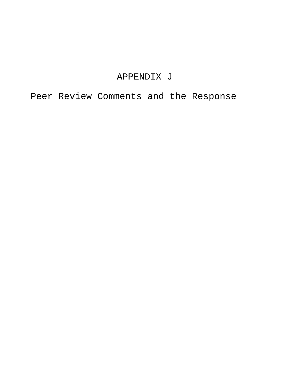# APPENDIX J

Peer Review Comments and the Response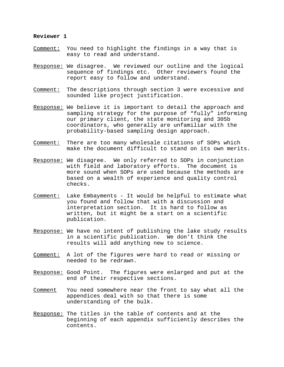#### **Reviewer 1**

- Comment: You need to highlight the findings in a way that is easy to read and understand.
- Response: We disagree. We reviewed our outline and the logical sequence of findings etc. Other reviewers found the report easy to follow and understand.
- Comment: The descriptions through section 3 were excessive and sounded like project justification.
- Response: We believe it is important to detail the approach and sampling strategy for the purpose of "fully" informing our primary client, the state monitoring and 305b coordinators, who generally are unfamiliar with the probability-based sampling design approach.
- Comment: There are too many wholesale citations of SOPs which make the document difficult to stand on its own merits.
- Response: We disagree. We only referred to SOPs in conjunction with field and laboratory efforts. The document is more sound when SOPs are used because the methods are based on a wealth of experience and quality control checks.
- Comment: Lake Embayments It would be helpful to estimate what you found and follow that with a discussion and interpretation section. It is hard to follow as written, but it might be a start on a scientific publication.
- Response: We have no intent of publishing the lake study results in a scientific publication. We don't think the results will add anything new to science.
- Comment: A lot of the figures were hard to read or missing or needed to be redrawn.
- Response: Good Point. The figures were enlarged and put at the end of their respective sections.
- Comment You need somewhere near the front to say what all the appendices deal with so that there is some understanding of the bulk.
- Response: The titles in the table of contents and at the beginning of each appendix sufficiently describes the contents.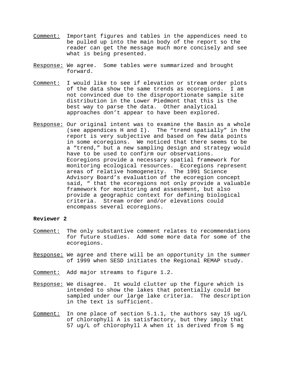- Comment: Important figures and tables in the appendices need to be pulled up into the main body of the report so the reader can get the message much more concisely and see what is being presented.
- Response: We agree. Some tables were summarized and brought forward.
- Comment: I would like to see if elevation or stream order plots of the data show the same trends as ecoregions. I am not convinced due to the disproportionate sample site distribution in the Lower Piedmont that this is the best way to parse the data. Other analytical approaches don't appear to have been explored.
- Response: Our original intent was to examine the Basin as a whole (see appendices H and I). The "trend spatially" in the report is very subjective and based on few data points in some ecoregions. We noticed that there seems to be a "trend," but a new sampling design and strategy would have to be used to confirm our observations. Ecoregions provide a necessary spatial framework for monitoring ecological resources. Ecoregions represent areas of relative homogeneity. The 1991 Science Advisory Board's evaluation of the ecoregion concept said, " that the ecoregions not only provide a valuable framework for monitoring and assessment, but also provide a geographic context for defining biological criteria. Stream order and/or elevations could encompass several ecoregions.

## **Reviewer 2**

- Comment: The only substantive comment relates to recommendations for future studies. Add some more data for some of the ecoregions.
- Response: We agree and there will be an opportunity in the summer of 1999 when SESD initiates the Regional REMAP study.
- Comment: Add major streams to figure 1.2.
- Response: We disagree. It would clutter up the figure which is intended to show the lakes that potentially could be sampled under our large lake criteria. The description in the text is sufficient.
- Comment: In one place of section 5.1.1, the authors say 15 ug/L of chlorophyll A is satisfactory, but they imply that 57 ug/L of chlorophyll A when it is derived from 5 mg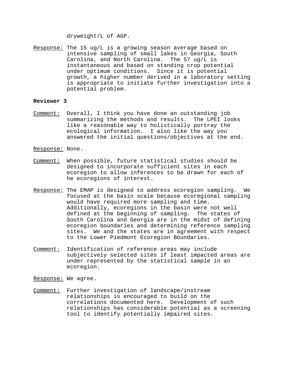dryweight/L of AGP.

Response: The 15 ug/L is a growing season average based on intensive sampling of small lakes in Georgia, South Carolina, and North Carolina. The 57 ug/L is instantaneous and based on standing crop potential under optimum conditions. Since it is potential growth, a higher number derived in a laboratory setting is appropriate to initiate further investigation into a potential problem.

#### **Reviewer 3**

Comment: Overall, I think you have done an outstanding job summarizing the methods and results. The LPEI looks like a reasonable way to holistically portray the ecological information. I also like the way you answered the initial questions/objectives at the end.

Response: None.

- Comment: When possible, future statistical studies should be designed to incorporate sufficient sites in each ecoregion to allow inferences to be drawn for each of he ecoregions of interest.
- Response: The EMAP is designed to address ecoregion sampling. We focused at the basin scale because ecoregional sampling would have required more sampling and time. Additionally, ecoregions in the basin were not well defined at the beginning of sampling. The states of South Carolina and Georgia are in the midst of defining ecoregion boundaries and determining reference sampling sites. We and the states are in agreement with respect to the Lower Piedmont Ecoregion Boundaries.
- Comment: Identification of reference areas may include subjectively selected sites if least impacted areas are under represented by the statistical sample in an ecoregion.
- Response: We agree.
- Comment: Further investigation of landscape/instream relationships is encouraged to build on the correlations documented here. Development of such relationships has considerable potential as a screening tool to identify potentially impaired sites.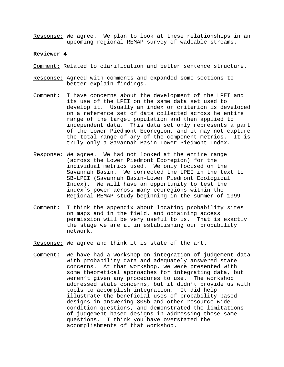Response: We agree. We plan to look at these relationships in an upcoming regional REMAP survey of wadeable streams.

#### **Reviewer 4**

- Comment: Related to clarification and better sentence structure.
- Response: Agreed with comments and expanded some sections to better explain findings.
- Comment: I have concerns about the development of the LPEI and its use of the LPEI on the same data set used to develop it. Usually an index or criterion is developed on a reference set of data collected across he entire range of the target population and then applied to independent data. This data set only represents a part of the Lower Piedmont Ecoregion, and it may not capture the total range of any of the component metrics. It is truly only a Savannah Basin Lower Piedmont Index.
- Response: We agree. We had not looked at the entire range (across the Lower Piedmont Ecoregion) for the individual metrics used. We only focused on the Savannah Basin. We corrected the LPEI in the text to SB-LPEI (Savannah Basin-Lower Piedmont Ecological Index). We will have an opportunity to test the index's power across many ecoregions within the Regional REMAP study beginning in the summer of 1999.
- Comment: I think the appendix about locating probability sites on maps and in the field, and obtaining access permission will be very useful to us. That is exactly the stage we are at in establishing our probability network.
- Response: We agree and think it is state of the art.
- Comment: We have had a workshop on integration of judgement data with probability data and adequately answered state concerns. At that workshop, we were presented with some theoretical approaches for integrating data, but weren't given any procedures to use. The workshop addressed state concerns, but it didn't provide us with tools to accomplish integration. It did help illustrate the beneficial uses of probability-based designs in answering 305b and other resource-wide condition questions, and demonstrated the limitations of judgement-based designs in addressing those same questions. I think you have overstated the accomplishments of that workshop.